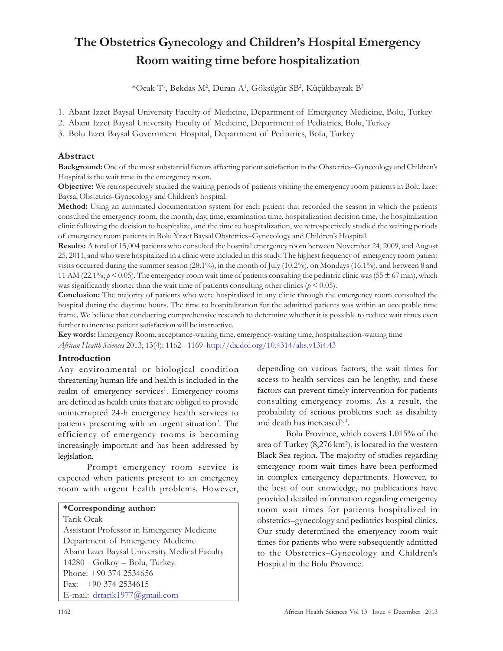# The Obstetrics Gynecology and Children's Hospital Emergency Room waiting time before hospitalization

 $^*$ Ocak T', Bekdas M², Duran A', Göksügür SB², Küçükbayrak B $^3$ 

- 1. Abant Izzet Baysal University Faculty of Medicine, Department of Emergency Medicine, Bolu, Turkey
- 2. Abant Izzet Baysal University Faculty of Medicine, Department of Pediatrics, Bolu, Turkey
- 3. Bolu Izzet Baysal Government Hospital, Department of Pediatrics, Bolu, Turkey

# Abstract

Background: One of the most substantial factors affecting patient satisfaction in the Obstetrics–Gynecology and Children's Hospital is the wait time in the emergency room.

Objective: We retrospectively studied the waiting periods of patients visiting the emergency room patients in Bolu Izzet Baysal Obstetrics-Gynecology and Children's hospital.

Method: Using an automated documentation system for each patient that recorded the season in which the patients consulted the emergency room, the month, day, time, examination time, hospitalization decision time, the hospitalization clinic following the decision to hospitalize, and the time to hospitalization, we retrospectively studied the waiting periods of emergency room patients in Bolu Ýzzet Baysal Obstetrics–Gynecology and Children's Hospital.

Results: A total of 15,004 patients who consulted the hospital emergency room between November 24, 2009, and August 25, 2011, and who were hospitalized in a clinic were included in this study. The highest frequency of emergency room patient visits occurred during the summer season (28.1%), in the month of July (10.2%), on Mondays (16.1%), and between 8 and 11 AM (22.1%;  $p \le 0.05$ ). The emergency room wait time of patients consulting the pediatric clinic was (55  $\pm$  67 min), which was significantly shorter than the wait time of patients consulting other clinics ( $p < 0.05$ ).

Conclusion: The majority of patients who were hospitalized in any clinic through the emergency room consulted the hospital during the daytime hours. The time to hospitalization for the admitted patients was within an acceptable time frame. We believe that conducting comprehensive research to determine whether it is possible to reduce wait times even further to increase patient satisfaction will be instructive.

Key words: Emergency Room, acceptance-waiting time, emergency-waiting time, hospitalization-waiting time African Health Sciences 2013; 13(4): 1162 - 1169 http://dx.doi.org/10.4314/ahs.v13i4.43

## Introduction

Any environmental or biological condition threatening human life and health is included in the realm of emergency services<sup>1</sup>. Emergency rooms are defined as health units that are obliged to provide uninterrupted 24-h emergency health services to patients presenting with an urgent situation<sup>2</sup>. The efficiency of emergency rooms is becoming increasingly important and has been addressed by legislation.

Prompt emergency room service is expected when patients present to an emergency room with urgent health problems. However,

# \*Corresponding author:

Tarik Ocak Assistant Professor in Emergency Medicine Department of Emergency Medicine Abant Izzet Baysal University Medical Faculty 14280 Golkoy – Bolu, Turkey. Phone: +90 374 2534656 Fax: +90 374 2534615 E-mail: drtarik1977@gmail.com

depending on various factors, the wait times for access to health services can be lengthy, and these factors can prevent timely intervention for patients consulting emergency rooms. As a result, the probability of serious problems such as disability and death has increased<sup>3, 4</sup>.

Bolu Province, which covers 1.015% of the area of Turkey (8,276 km²), is located in the western Black Sea region. The majority of studies regarding emergency room wait times have been performed in complex emergency departments. However, to the best of our knowledge, no publications have provided detailed information regarding emergency room wait times for patients hospitalized in obstetrics–gynecology and pediatrics hospital clinics. Our study determined the emergency room wait times for patients who were subsequently admitted to the Obstetrics–Gynecology and Children's Hospital in the Bolu Province.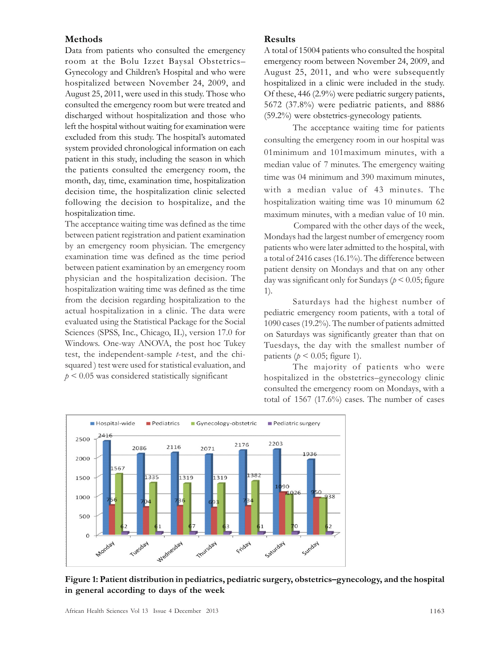## Methods

Data from patients who consulted the emergency room at the Bolu Izzet Baysal Obstetrics– Gynecology and Children's Hospital and who were hospitalized between November 24, 2009, and August 25, 2011, were used in this study. Those who consulted the emergency room but were treated and discharged without hospitalization and those who left the hospital without waiting for examination were excluded from this study. The hospital's automated system provided chronological information on each patient in this study, including the season in which the patients consulted the emergency room, the month, day, time, examination time, hospitalization decision time, the hospitalization clinic selected following the decision to hospitalize, and the hospitalization time.

The acceptance waiting time was defined as the time between patient registration and patient examination by an emergency room physician. The emergency examination time was defined as the time period between patient examination by an emergency room physician and the hospitalization decision. The hospitalization waiting time was defined as the time from the decision regarding hospitalization to the actual hospitalization in a clinic. The data were evaluated using the Statistical Package for the Social Sciences (SPSS, Inc., Chicago, IL), version 17.0 for Windows. One-way ANOVA, the post hoc Tukey test, the independent-sample *-test, and the chi*squared ) test were used for statistical evaluation, and  $p < 0.05$  was considered statistically significant

# Results

A total of 15004 patients who consulted the hospital emergency room between November 24, 2009, and August 25, 2011, and who were subsequently hospitalized in a clinic were included in the study. Of these, 446 (2.9%) were pediatric surgery patients, 5672 (37.8%) were pediatric patients, and 8886 (59.2%) were obstetrics-gynecology patients.

The acceptance waiting time for patients consulting the emergency room in our hospital was 01minimum and 101maximum minutes, with a median value of 7 minutes. The emergency waiting time was 04 minimum and 390 maximum minutes, with a median value of 43 minutes. The hospitalization waiting time was 10 minumum 62 maximum minutes, with a median value of 10 min.

Compared with the other days of the week, Mondays had the largest number of emergency room patients who were later admitted to the hospital, with a total of 2416 cases (16.1%). The difference between patient density on Mondays and that on any other day was significant only for Sundays ( $p < 0.05$ ; figure 1).

Saturdays had the highest number of pediatric emergency room patients, with a total of 1090 cases (19.2%). The number of patients admitted on Saturdays was significantly greater than that on Tuesdays, the day with the smallest number of patients ( $p < 0.05$ ; figure 1).

The majority of patients who were hospitalized in the obstetrics–gynecology clinic consulted the emergency room on Mondays, with a total of  $1567$   $(17.6\%)$  cases. The number of cases



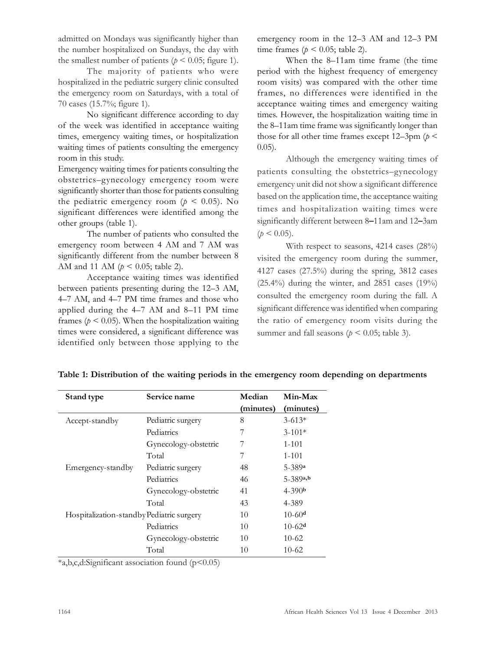admitted on Mondays was significantly higher than the number hospitalized on Sundays, the day with the smallest number of patients ( $p < 0.05$ ; figure 1).

The majority of patients who were hospitalized in the pediatric surgery clinic consulted the emergency room on Saturdays, with a total of 70 cases (15.7%; figure 1).

No significant difference according to day of the week was identified in acceptance waiting times, emergency waiting times, or hospitalization waiting times of patients consulting the emergency room in this study.

Emergency waiting times for patients consulting the obstetrics–gynecology emergency room were significantly shorter than those for patients consulting the pediatric emergency room ( $p \leq 0.05$ ). No significant differences were identified among the other groups (table 1).

The number of patients who consulted the emergency room between 4 AM and 7 AM was significantly different from the number between 8 AM and 11 AM ( $p < 0.05$ ; table 2).

Acceptance waiting times was identified between patients presenting during the 12–3 AM, 4–7 AM, and 4–7 PM time frames and those who applied during the 4–7 AM and 8–11 PM time frames ( $p < 0.05$ ). When the hospitalization waiting times were considered, a significant difference was identified only between those applying to the

emergency room in the 12–3 AM and 12–3 PM time frames ( $p < 0.05$ ; table 2).

When the 8–11am time frame (the time period with the highest frequency of emergency room visits) was compared with the other time frames, no differences were identified in the acceptance waiting times and emergency waiting times. However, the hospitalization waiting time in the 8–11am time frame was significantly longer than those for all other time frames except  $12-3$ pm ( $p <$ 0.05).

Although the emergency waiting times of patients consulting the obstetrics–gynecology emergency unit did not show a significant difference based on the application time, the acceptance waiting times and hospitalization waiting times were significantly different between 8–11am and 12–3am  $(p < 0.05)$ .

With respect to seasons, 4214 cases (28%) visited the emergency room during the summer, 4127 cases (27.5%) during the spring, 3812 cases  $(25.4\%)$  during the winter, and 2851 cases  $(19\%)$ consulted the emergency room during the fall. A significant difference was identified when comparing the ratio of emergency room visits during the summer and fall seasons ( $p < 0.05$ ; table 3).

| Stand type                                | Service name         | Median    | Min-Max    |
|-------------------------------------------|----------------------|-----------|------------|
|                                           |                      | (minutes) | (minutes)  |
| Accept-standby                            | Pediatric surgery    | 8         | $3 - 613*$ |
|                                           | Pediatrics           |           | $3 - 101*$ |
|                                           | Gynecology-obstetric | 7         | $1 - 101$  |
|                                           | Total                | 7         | $1 - 101$  |
| Emergency-standby                         | Pediatric surgery    | 48        | $5 - 389a$ |
|                                           | Pediatrics           | 46        | $5-389a,b$ |
|                                           | Gynecology-obstetric | 41        | $4 - 390b$ |
|                                           | Total                | 43        | 4-389      |
| Hospitalization-standby Pediatric surgery |                      | 10        | $10-60d$   |
|                                           | Pediatrics           | 10        | $10-62d$   |
|                                           | Gynecology-obstetric | 10        | $10-62$    |
|                                           | Total                | 10        | $10-62$    |

Table 1: Distribution of the waiting periods in the emergency room depending on departments

 $*a,b,c,d$ :Significant association found ( $p<0.05$ )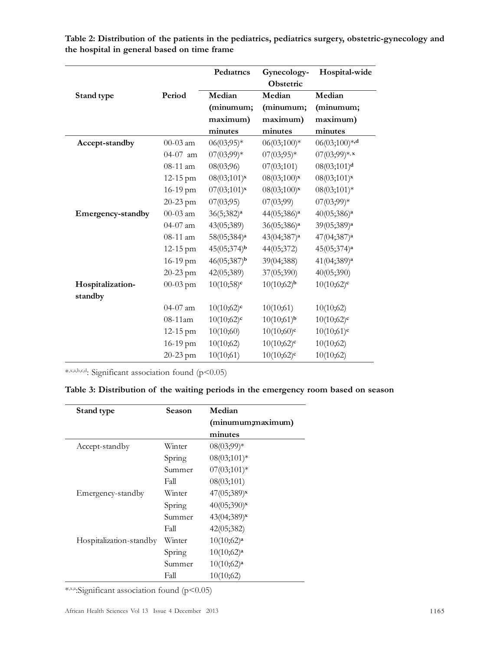|                   |              | Pediatrics               | Gynecology-              | Hospital-wide           |
|-------------------|--------------|--------------------------|--------------------------|-------------------------|
|                   |              |                          | Obstetric                |                         |
| Stand type        | Period       | Median                   | Median                   | Median                  |
|                   |              | (minumum;                | (minumum;                | (minumum;               |
|                   |              | maximum)                 | maximum)                 | maximum)                |
|                   |              | minutes                  | minutes                  | minutes                 |
| Accept-standby    | 00-03 am     | $06(03;95)*$             | 06(03;100)*              | $06(03;100)*d$          |
|                   | 04-07 am     | $07(03;99)*$             | $07(03;95)*$             | $07(03,99)*$ , x        |
|                   | 08-11 am     | 08(03;96)                | 07(03;101)               | 08(03;101) <sup>d</sup> |
|                   | $12 - 15$ pm | $08(03;101)^{x}$         | $08(03;100)^{x}$         | $08(03;101)^{x}$        |
|                   | 16-19 pm     | $07(03;101)$ *           | $08(03;100)$ *           | $08(03;101)*$           |
|                   | 20-23 pm     | 07(03;95)                | 07(03;99)                | $07(03;99)*$            |
| Emergency-standby | 00-03 am     | 36(5;382) <sup>a</sup>   | 44(05;386) <sup>a</sup>  | 40(05;386) <sup>a</sup> |
|                   | 04-07 am     | 43(05;389)               | 36(05;386) <sup>a</sup>  | 39(05;389) <sup>a</sup> |
|                   | 08-11 am     | 58(05;384) <sup>a</sup>  | 43(04;387) <sup>a</sup>  | 47(04;387) <sup>a</sup> |
|                   | 12-15 pm     | 45(05;374) <sup>b</sup>  | 44(05;372)               | 45(05;374) <sup>a</sup> |
|                   | 16-19 pm     | 46(05;387) <sup>b</sup>  | 39(04;388)               | 41(04;389) <sup>a</sup> |
|                   | 20-23 pm     | 42(05;389)               | 37(05;390)               | 40(05;390)              |
| Hospitalization-  | $00 - 03$ pm | $10(10;58)$ <sup>c</sup> | $10(10;62)$ <sup>b</sup> | $10(10;62)^c$           |
| standby           |              |                          |                          |                         |
|                   | $04-07$ am   | $10(10;62)^c$            | 10(10;61)                | 10(10;62)               |
|                   | 08-11am      | $10(10;62)^c$            | $10(10;61)^b$            | $10(10;62)^c$           |
|                   | 12-15 pm     | 10(10;60)                | $10(10;60)^c$            | $10(10;61)^c$           |
|                   | 16-19 pm     | 10(10;62)                | $10(10;62)^c$            | 10(10;62)               |
|                   | 20-23 pm     | 10(10;61)                | $10(10;62)^c$            | 10(10;62)               |

Table 2: Distribution of the patients in the pediatrics, pediatrics surgery, obstetric-gynecology and the hospital in general based on time frame

\* ,x,a,b,c,d: Significant association found (p<0.05)

# Table 3: Distribution of the waiting periods in the emergency room based on season

| Stand type              | Season | Median                  |
|-------------------------|--------|-------------------------|
|                         |        | (minumum;maximum)       |
|                         |        | minutes                 |
| Accept-standby          | Winter | 08(03;99)*              |
|                         | Spring | $08(03;101)*$           |
|                         | Summer | $07(03;101)*$           |
|                         | Fall   | 08(03;101)              |
| Emergency-standby       | Winter | 47(05;389) <sup>x</sup> |
|                         | Spring | $40(05;390)$ x          |
|                         | Summer | 43(04;389) <sup>x</sup> |
|                         | Fall   | 42(05;382)              |
| Hospitalization-standby | Winter | 10(10;62) <sup>a</sup>  |
|                         | Spring | 10(10;62) <sup>a</sup>  |
|                         | Summer | 10(10;62) <sup>a</sup>  |
|                         | Fall   | 10(10;62)               |

\* ,x,a:Significant association found (p<0.05)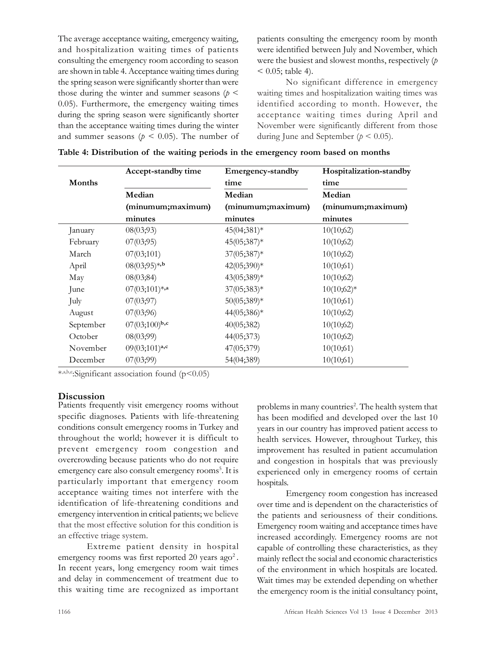The average acceptance waiting, emergency waiting, and hospitalization waiting times of patients consulting the emergency room according to season are shown in table 4. Acceptance waiting times during the spring season were significantly shorter than were those during the winter and summer seasons  $(p \leq$ 0.05). Furthermore, the emergency waiting times during the spring season were significantly shorter than the acceptance waiting times during the winter and summer seasons ( $p \le 0.05$ ). The number of

patients consulting the emergency room by month were identified between July and November, which were the busiest and slowest months, respectively  $(p)$  $< 0.05$ ; table 4).

No significant difference in emergency waiting times and hospitalization waiting times was identified according to month. However, the acceptance waiting times during April and November were significantly different from those during June and September ( $p < 0.05$ ).

|           | Accept-standby time | Emergency-standby | Hospitalization-standby |
|-----------|---------------------|-------------------|-------------------------|
| Months    |                     | time              | time                    |
|           | Median              | Median            | Median                  |
|           | (minumum;maximum)   | (minumum;maximum) | (minumum;maximum)       |
|           | minutes             | minutes           | minutes                 |
| anuary    | 08(03;93)           | $45(04;381)*$     | 10(10;62)               |
| February  | 07(03;95)           | 45(05;387)*       | 10(10;62)               |
| March     | 07(03;101)          | $37(05;387)*$     | 10(10;62)               |
| April     | $08(03;95)*$ ,b     | 42(05;390)*       | 10(10;61)               |
| May       | 08(03;84)           | 43(05;389)*       | 10(10;62)               |
| June      | $07(03;101)*$ ,a    | $37(05;383)*$     | $10(10;62)*$            |
| July      | 07(03;97)           | 50(05;389)*       | 10(10;61)               |
| August    | 07(03;96)           | 44(05;386)*       | 10(10;62)               |
| September | $07(03;100)^{b,c}$  | 40(05;382)        | 10(10;62)               |
| October   | 08(03;99)           | 44(05;373)        | 10(10;62)               |
| November  | $09(03;101)^{a,c}$  | 47(05;379)        | 10(10;61)               |
| December  | 07(03;99)           | 54(04;389)        | 10(10;61)               |

\* ,a,b,c:Significant association found (p<0.05)

#### **Discussion**

Patients frequently visit emergency rooms without specific diagnoses. Patients with life-threatening conditions consult emergency rooms in Turkey and throughout the world; however it is difficult to prevent emergency room congestion and overcrowding because patients who do not require emergency care also consult emergency rooms<sup>5</sup>. It is particularly important that emergency room acceptance waiting times not interfere with the identification of life-threatening conditions and emergency intervention in critical patients; we believe that the most effective solution for this condition is an effective triage system.

Extreme patient density in hospital emergency rooms was first reported 20 years ago<sup>2</sup>. In recent years, long emergency room wait times and delay in commencement of treatment due to this waiting time are recognized as important

problems in many countries<sup>2</sup>. The health system that has been modified and developed over the last 10 years in our country has improved patient access to health services. However, throughout Turkey, this improvement has resulted in patient accumulation and congestion in hospitals that was previously experienced only in emergency rooms of certain hospitals.

Emergency room congestion has increased over time and is dependent on the characteristics of the patients and seriousness of their conditions. Emergency room waiting and acceptance times have increased accordingly. Emergency rooms are not capable of controlling these characteristics, as they mainly reflect the social and economic characteristics of the environment in which hospitals are located. Wait times may be extended depending on whether the emergency room is the initial consultancy point,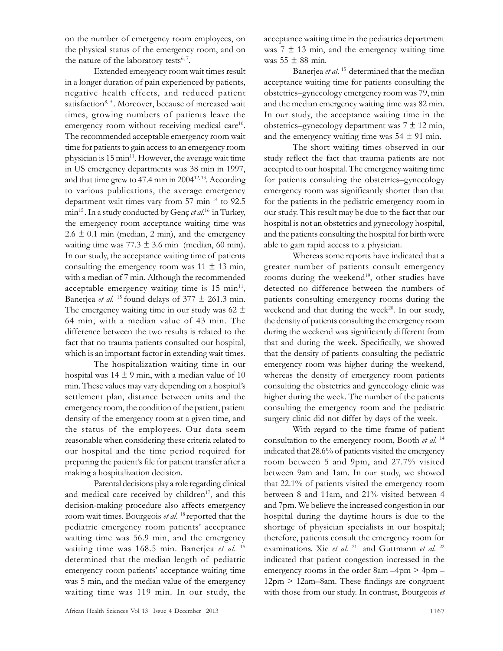on the number of emergency room employees, on the physical status of the emergency room, and on the nature of the laboratory tests<sup>6, 7</sup>.

Extended emergency room wait times result in a longer duration of pain experienced by patients, negative health effects, and reduced patient satisfaction<sup>8, 9</sup>. Moreover, because of increased wait times, growing numbers of patients leave the emergency room without receiving medical care<sup>10</sup>. The recommended acceptable emergency room wait time for patients to gain access to an emergency room physician is  $15 \text{ min}^{11}$ . However, the average wait time in US emergency departments was 38 min in 1997, and that time grew to  $47.4$  min in  $2004^{12,13}$ . According to various publications, the average emergency department wait times vary from 57 min <sup>14</sup> to 92.5 min<sup>15</sup>. In a study conducted by Genç et al.<sup>16</sup> in Turkey, the emergency room acceptance waiting time was  $2.6 \pm 0.1$  min (median, 2 min), and the emergency waiting time was  $77.3 \pm 3.6$  min (median, 60 min). In our study, the acceptance waiting time of patients consulting the emergency room was  $11 \pm 13$  min, with a median of 7 min. Although the recommended acceptable emergency waiting time is  $15 \text{ min}^{11}$ , Banerjea *et al.* <sup>15</sup> found delays of  $377 \pm 261.3$  min. The emergency waiting time in our study was  $62 \pm$ 64 min, with a median value of 43 min. The difference between the two results is related to the fact that no trauma patients consulted our hospital, which is an important factor in extending wait times.

The hospitalization waiting time in our hospital was  $14 \pm 9$  min, with a median value of 10 min. These values may vary depending on a hospital's settlement plan, distance between units and the emergency room, the condition of the patient, patient density of the emergency room at a given time, and the status of the employees. Our data seem reasonable when considering these criteria related to our hospital and the time period required for preparing the patient's file for patient transfer after a making a hospitalization decision.

Parental decisions play a role regarding clinical and medical care received by children<sup>17</sup>, and this decision-making procedure also affects emergency room wait times. Bourgeois et al. <sup>18</sup> reported that the pediatric emergency room patients' acceptance waiting time was 56.9 min, and the emergency waiting time was 168.5 min. Banerjea et al. <sup>15</sup> determined that the median length of pediatric emergency room patients' acceptance waiting time was 5 min, and the median value of the emergency waiting time was 119 min. In our study, the acceptance waiting time in the pediatrics department was  $7 \pm 13$  min, and the emergency waiting time was  $55 \pm 88$  min.

Banerjea et al.<sup>15</sup> determined that the median acceptance waiting time for patients consulting the obstetrics–gynecology emergency room was 79, min and the median emergency waiting time was 82 min. In our study, the acceptance waiting time in the obstetrics–gynecology department was  $7 \pm 12$  min, and the emergency waiting time was  $54 \pm 91$  min.

The short waiting times observed in our study reflect the fact that trauma patients are not accepted to our hospital. The emergency waiting time for patients consulting the obstetrics–gynecology emergency room was significantly shorter than that for the patients in the pediatric emergency room in our study. This result may be due to the fact that our hospital is not an obstetrics and gynecology hospital, and the patients consulting the hospital for birth were able to gain rapid access to a physician.

Whereas some reports have indicated that a greater number of patients consult emergency rooms during the weekend<sup>19</sup>, other studies have detected no difference between the numbers of patients consulting emergency rooms during the weekend and that during the week<sup>20</sup>. In our study, the density of patients consulting the emergency room during the weekend was significantly different from that and during the week. Specifically, we showed that the density of patients consulting the pediatric emergency room was higher during the weekend, whereas the density of emergency room patients consulting the obstetrics and gynecology clinic was higher during the week. The number of the patients consulting the emergency room and the pediatric surgery clinic did not differ by days of the week.

With regard to the time frame of patient consultation to the emergency room, Booth et al.<sup>14</sup> indicated that 28.6% of patients visited the emergency room between 5 and 9pm, and 27.7% visited between 9am and 1am. In our study, we showed that 22.1% of patients visited the emergency room between 8 and 11am, and 21% visited between 4 and 7pm. We believe the increased congestion in our hospital during the daytime hours is due to the shortage of physician specialists in our hospital; therefore, patients consult the emergency room for examinations. Xie et al. <sup>21</sup> and Guttmann et al. <sup>22</sup> indicated that patient congestion increased in the emergency rooms in the order 8am –4pm > 4pm – 12pm > 12am–8am. These findings are congruent with those from our study. In contrast, Bourgeois et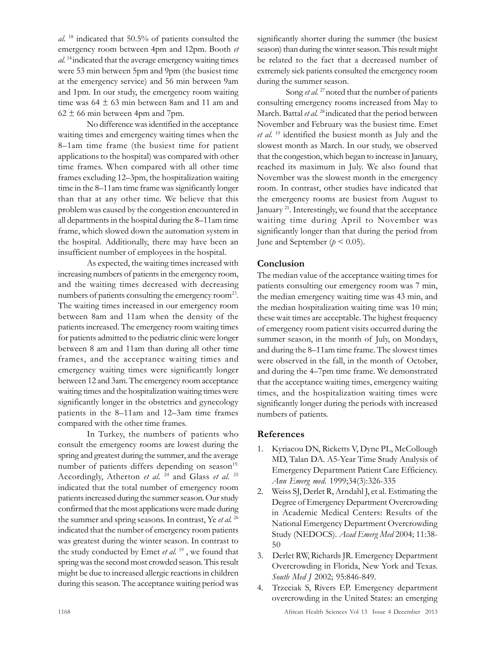al. <sup>18</sup> indicated that 50.5% of patients consulted the emergency room between 4pm and 12pm. Booth et al. <sup>14</sup>indicated that the average emergency waiting times were 53 min between 5pm and 9pm (the busiest time at the emergency service) and 56 min between 9am and 1pm. In our study, the emergency room waiting time was  $64 \pm 63$  min between 8am and 11 am and  $62 \pm 66$  min between 4pm and 7pm.

No difference was identified in the acceptance waiting times and emergency waiting times when the 8–1am time frame (the busiest time for patient applications to the hospital) was compared with other time frames. When compared with all other time frames excluding 12–3pm, the hospitalization waiting time in the 8–11am time frame was significantly longer than that at any other time. We believe that this problem was caused by the congestion encountered in all departments in the hospital during the 8–11am time frame, which slowed down the automation system in the hospital. Additionally, there may have been an insufficient number of employees in the hospital.

As expected, the waiting times increased with increasing numbers of patients in the emergency room, and the waiting times decreased with decreasing numbers of patients consulting the emergency room<sup>23</sup>. The waiting times increased in our emergency room between 8am and 11am when the density of the patients increased. The emergency room waiting times for patients admitted to the pediatric clinic were longer between 8 am and 11am than during all other time frames, and the acceptance waiting times and emergency waiting times were significantly longer between 12 and 3am. The emergency room acceptance waiting times and the hospitalization waiting times were significantly longer in the obstetrics and gynecology patients in the 8–11am and 12–3am time frames compared with the other time frames.

In Turkey, the numbers of patients who consult the emergency rooms are lowest during the spring and greatest during the summer, and the average number of patients differs depending on season<sup>19.</sup> Accordingly, Atherton et al.  $^{24}$  and Glass et al. <sup>25</sup> indicated that the total number of emergency room patients increased during the summer season. Our study confirmed that the most applications were made during the summer and spring seasons. In contrast, Ye et al.<sup>26</sup> indicated that the number of emergency room patients was greatest during the winter season. In contrast to the study conducted by Emet et al.<sup>19</sup>, we found that spring was the second most crowded season. This result might be due to increased allergic reactions in children during this season. The acceptance waiting period was

significantly shorter during the summer (the busiest season) than during the winter season. This result might be related to the fact that a decreased number of extremely sick patients consulted the emergency room during the summer season.

Song *et al.* <sup>27</sup> noted that the number of patients consulting emergency rooms increased from May to March. Battal et al.<sup>28</sup> indicated that the period between November and February was the busiest time. Emet et al.<sup>19</sup> identified the busiest month as July and the slowest month as March. In our study, we observed that the congestion, which began to increase in January, reached its maximum in July. We also found that November was the slowest month in the emergency room. In contrast, other studies have indicated that the emergency rooms are busiest from August to January <sup>21</sup>. Interestingly, we found that the acceptance waiting time during April to November was significantly longer than that during the period from June and September ( $p < 0.05$ ).

## Conclusion

The median value of the acceptance waiting times for patients consulting our emergency room was 7 min, the median emergency waiting time was 43 min, and the median hospitalization waiting time was 10 min; these wait times are acceptable. The highest frequency of emergency room patient visits occurred during the summer season, in the month of July, on Mondays, and during the 8–11am time frame. The slowest times were observed in the fall, in the month of October, and during the 4–7pm time frame. We demonstrated that the acceptance waiting times, emergency waiting times, and the hospitalization waiting times were significantly longer during the periods with increased numbers of patients.

## References

- 1. Kyriacou DN, Ricketts V, Dyne PL, McCollough MD, Talan DA. A5-Year Time Study Analysis of Emergency Department Patient Care Efficiency. Ann Emerg med. 1999;34(3):326-335
- 2. Weiss SJ, Derlet R, Arndahl J, et al. Estimating the Degree of Emergency Department Overcrowding in Academic Medical Centers: Results of the National Emergency Department Overcrowding Study (NEDOCS). Acad Emerg Med 2004; 11:38- 50
- 3. Derlet RW, Richards JR. Emergency Department Overcrowding in Florida, New York and Texas. South Med J 2002; 95:846-849.
- 4. Trzeciak S, Rivers EP. Emergency department overcrowding in the United States: an emerging